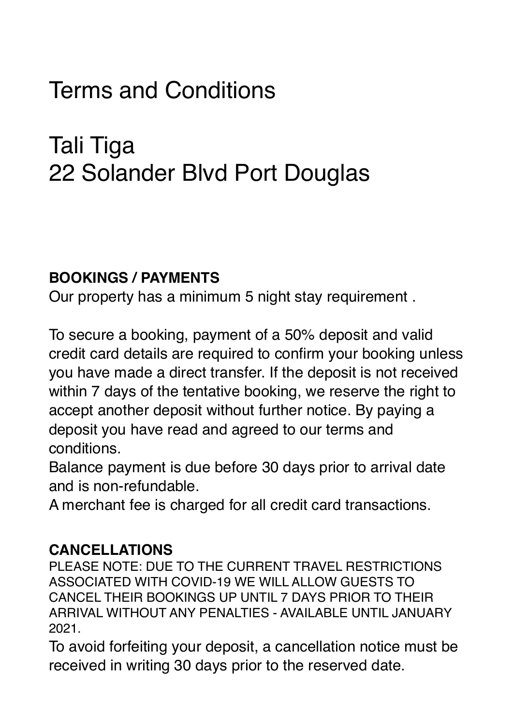# Terms and Conditions

## Tali Tiga 22 Solander Blvd Port Douglas

#### **BOOKINGS / PAYMENTS**

Our property has a minimum 5 night stay requirement .

To secure a booking, payment of a 50% deposit and valid credit card details are required to confirm your booking unless you have made a direct transfer. If the deposit is not received within 7 days of the tentative booking, we reserve the right to accept another deposit without further notice. By paying a deposit you have read and agreed to our terms and conditions.

Balance payment is due before 30 days prior to arrival date and is non-refundable.

A merchant fee is charged for all credit card transactions.

#### **CANCELLATIONS**

PLEASE NOTE: DUE TO THE CURRENT TRAVEL RESTRICTIONS ASSOCIATED WITH COVID-19 WE WILL ALLOW GUESTS TO CANCEL THEIR BOOKINGS UP UNTIL 7 DAYS PRIOR TO THEIR ARRIVAL WITHOUT ANY PENALTIES - AVAILABLE UNTIL JANUARY 2021.

To avoid forfeiting your deposit, a cancellation notice must be received in writing 30 days prior to the reserved date.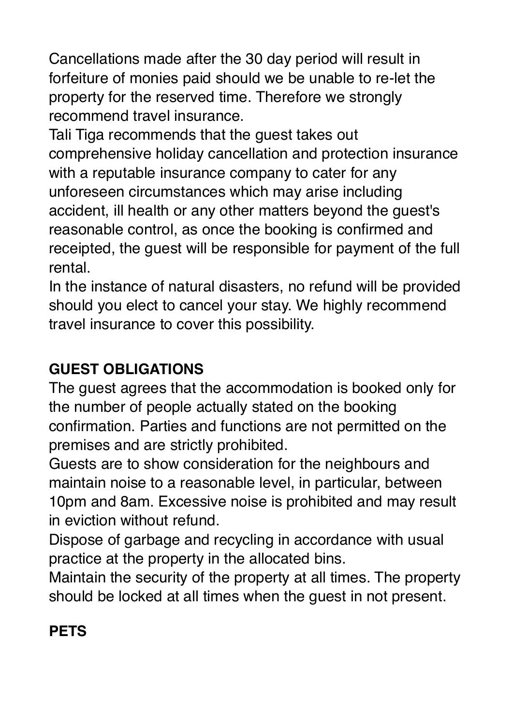Cancellations made after the 30 day period will result in forfeiture of monies paid should we be unable to re-let the property for the reserved time. Therefore we strongly recommend travel insurance.

Tali Tiga recommends that the guest takes out comprehensive holiday cancellation and protection insurance with a reputable insurance company to cater for any unforeseen circumstances which may arise including accident, ill health or any other matters beyond the guest's reasonable control, as once the booking is confirmed and receipted, the guest will be responsible for payment of the full rental.

In the instance of natural disasters, no refund will be provided should you elect to cancel your stay. We highly recommend travel insurance to cover this possibility.

## **GUEST OBLIGATIONS**

The guest agrees that the accommodation is booked only for the number of people actually stated on the booking confirmation. Parties and functions are not permitted on the premises and are strictly prohibited.

Guests are to show consideration for the neighbours and maintain noise to a reasonable level, in particular, between 10pm and 8am. Excessive noise is prohibited and may result in eviction without refund.

Dispose of garbage and recycling in accordance with usual practice at the property in the allocated bins.

Maintain the security of the property at all times. The property should be locked at all times when the guest in not present.

## **PETS**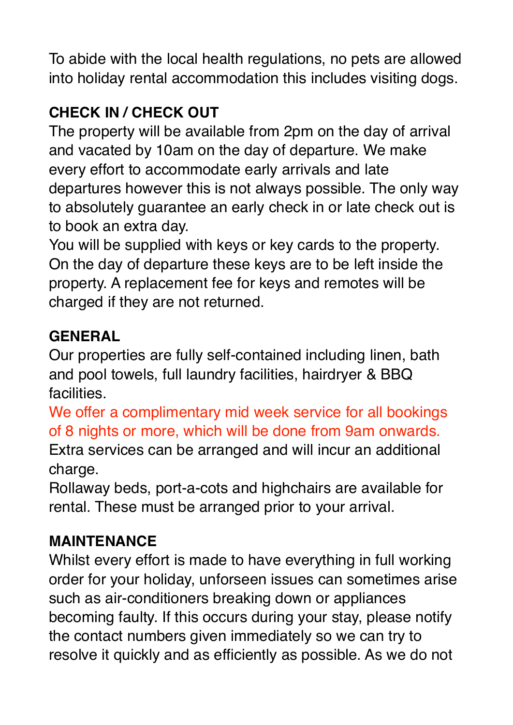To abide with the local health regulations, no pets are allowed into holiday rental accommodation this includes visiting dogs.

## **CHECK IN / CHECK OUT**

The property will be available from 2pm on the day of arrival and vacated by 10am on the day of departure. We make every effort to accommodate early arrivals and late departures however this is not always possible. The only way to absolutely guarantee an early check in or late check out is to book an extra day.

You will be supplied with keys or key cards to the property. On the day of departure these keys are to be left inside the property. A replacement fee for keys and remotes will be charged if they are not returned.

#### **GENERAL**

Our properties are fully self-contained including linen, bath and pool towels, full laundry facilities, hairdryer & BBQ facilities.

We offer a complimentary mid week service for all bookings of 8 nights or more, which will be done from 9am onwards. Extra services can be arranged and will incur an additional charge.

Rollaway beds, port-a-cots and highchairs are available for rental. These must be arranged prior to your arrival.

#### **MAINTENANCE**

Whilst every effort is made to have everything in full working order for your holiday, unforseen issues can sometimes arise such as air-conditioners breaking down or appliances becoming faulty. If this occurs during your stay, please notify the contact numbers given immediately so we can try to resolve it quickly and as efficiently as possible. As we do not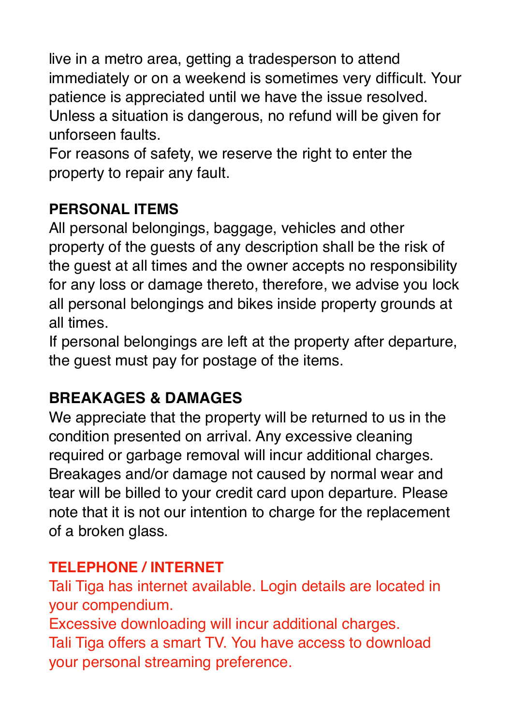live in a metro area, getting a tradesperson to attend immediately or on a weekend is sometimes very difficult. Your patience is appreciated until we have the issue resolved. Unless a situation is dangerous, no refund will be given for unforseen faults.

For reasons of safety, we reserve the right to enter the property to repair any fault.

#### **PERSONAL ITEMS**

All personal belongings, baggage, vehicles and other property of the guests of any description shall be the risk of the guest at all times and the owner accepts no responsibility for any loss or damage thereto, therefore, we advise you lock all personal belongings and bikes inside property grounds at all times.

If personal belongings are left at the property after departure, the guest must pay for postage of the items.

## **BREAKAGES & DAMAGES**

We appreciate that the property will be returned to us in the condition presented on arrival. Any excessive cleaning required or garbage removal will incur additional charges. Breakages and/or damage not caused by normal wear and tear will be billed to your credit card upon departure. Please note that it is not our intention to charge for the replacement of a broken glass.

#### **TELEPHONE / INTERNET**

Tali Tiga has internet available. Login details are located in your compendium.

Excessive downloading will incur additional charges.

Tali Tiga offers a smart TV. You have access to download your personal streaming preference.